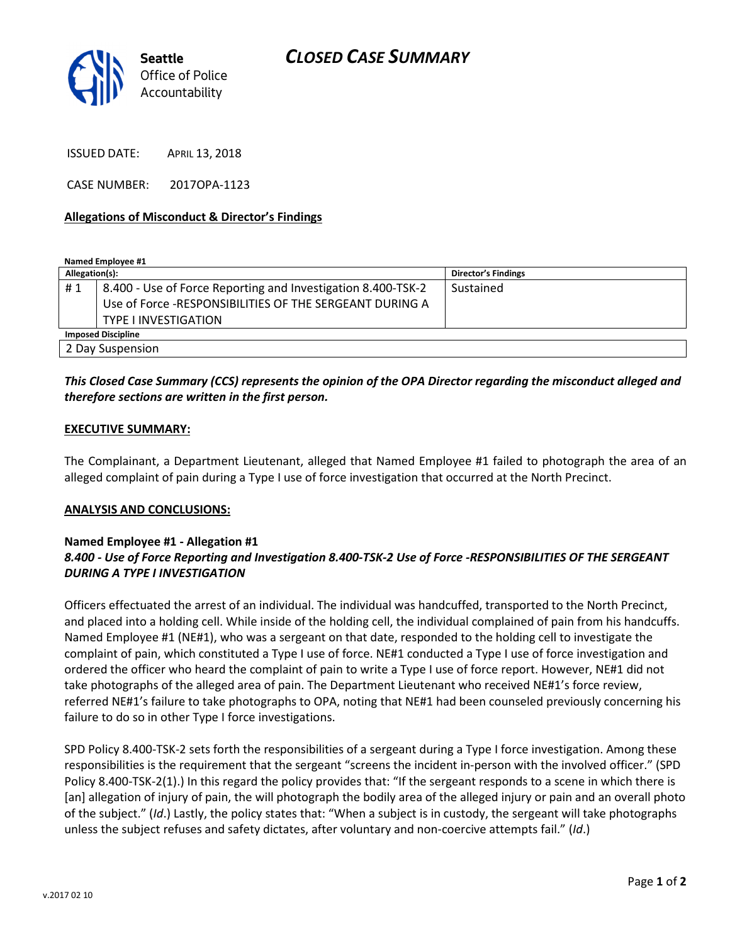

ISSUED DATE: APRIL 13, 2018

CASE NUMBER: 2017OPA-1123

#### Allegations of Misconduct & Director's Findings

Named Employee #1

| Allegation(s):            |                                                              | <b>Director's Findings</b> |
|---------------------------|--------------------------------------------------------------|----------------------------|
| #1                        | 8.400 - Use of Force Reporting and Investigation 8.400-TSK-2 | Sustained                  |
|                           | Use of Force -RESPONSIBILITIES OF THE SERGEANT DURING A      |                            |
|                           | <b>TYPE LINVESTIGATION</b>                                   |                            |
| <b>Imposed Discipline</b> |                                                              |                            |
| 2 Day Suspension          |                                                              |                            |

## This Closed Case Summary (CCS) represents the opinion of the OPA Director regarding the misconduct alleged and therefore sections are written in the first person.

#### EXECUTIVE SUMMARY:

The Complainant, a Department Lieutenant, alleged that Named Employee #1 failed to photograph the area of an alleged complaint of pain during a Type I use of force investigation that occurred at the North Precinct.

#### ANALYSIS AND CONCLUSIONS:

### Named Employee #1 - Allegation #1 8.400 - Use of Force Reporting and Investigation 8.400-TSK-2 Use of Force -RESPONSIBILITIES OF THE SERGEANT DURING A TYPE I INVESTIGATION

Officers effectuated the arrest of an individual. The individual was handcuffed, transported to the North Precinct, and placed into a holding cell. While inside of the holding cell, the individual complained of pain from his handcuffs. Named Employee #1 (NE#1), who was a sergeant on that date, responded to the holding cell to investigate the complaint of pain, which constituted a Type I use of force. NE#1 conducted a Type I use of force investigation and ordered the officer who heard the complaint of pain to write a Type I use of force report. However, NE#1 did not take photographs of the alleged area of pain. The Department Lieutenant who received NE#1's force review, referred NE#1's failure to take photographs to OPA, noting that NE#1 had been counseled previously concerning his failure to do so in other Type I force investigations.

SPD Policy 8.400-TSK-2 sets forth the responsibilities of a sergeant during a Type I force investigation. Among these responsibilities is the requirement that the sergeant "screens the incident in-person with the involved officer." (SPD Policy 8.400-TSK-2(1).) In this regard the policy provides that: "If the sergeant responds to a scene in which there is [an] allegation of injury of pain, the will photograph the bodily area of the alleged injury or pain and an overall photo of the subject." (Id.) Lastly, the policy states that: "When a subject is in custody, the sergeant will take photographs unless the subject refuses and safety dictates, after voluntary and non-coercive attempts fail." (Id.)